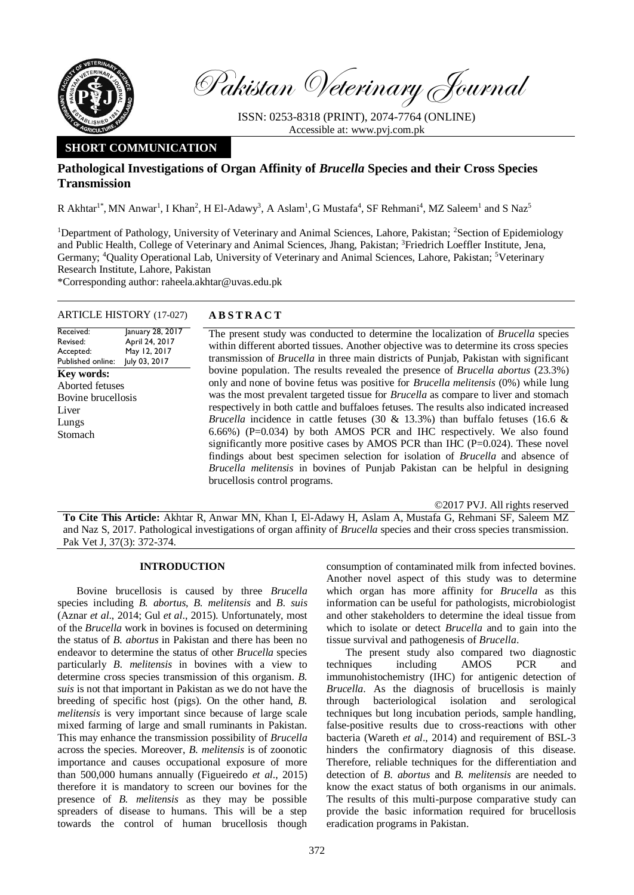

Pakistan Veterinary Journal

ISSN: 0253-8318 (PRINT), 2074-7764 (ONLINE) Accessible at: [www.pvj.com.pk](http://www.pvj.com.pk/)

# **SHORT COMMUNICATION**

## **Pathological Investigations of Organ Affinity of** *Brucella* **Species and their Cross Species Transmission**

R Akhtar<sup>1\*</sup>, MN Anwar<sup>1</sup>, I Khan<sup>2</sup>, H El-Adawy<sup>3</sup>, A Aslam<sup>1</sup>, G Mustafa<sup>4</sup>, SF Rehmani<sup>4</sup>, MZ Saleem<sup>1</sup> and S Naz<sup>5</sup>

<sup>1</sup>Department of Pathology, University of Veterinary and Animal Sciences, Lahore, Pakistan; <sup>2</sup>Section of Epidemiology and Public Health, College of Veterinary and Animal Sciences, Jhang, Pakistan; <sup>3</sup>Friedrich Loeffler Institute, Jena, Germany; <sup>4</sup>Quality Operational Lab, University of Veterinary and Animal Sciences, Lahore, Pakistan; <sup>5</sup>Veterinary Research Institute, Lahore, Pakistan

\*Corresponding author: [raheela.akhtar@uvas.edu.pk](mailto:raheela.akhtar@uvas.edu.pk)

## ARTICLE HISTORY (17-027) **A B S T R A C T**

Received: Revised: Accepted: Published online: January 28, 2017 April 24, 2017 May 12, 2017 July 03, 2017 **Key words:**  Aborted fetuses Bovine brucellosis Liver Lungs Stomach

The present study was conducted to determine the localization of *Brucella* species within different aborted tissues. Another objective was to determine its cross species transmission of *Brucella* in three main districts of Punjab, Pakistan with significant bovine population. The results revealed the presence of *Brucella abortus* (23.3%) only and none of bovine fetus was positive for *Brucella melitensis* (0%) while lung was the most prevalent targeted tissue for *Brucella* as compare to liver and stomach respectively in both cattle and buffaloes fetuses. The results also indicated increased *Brucella* incidence in cattle fetuses (30 & 13.3%) than buffalo fetuses (16.6 & 6.66%) (P=0.034) by both AMOS PCR and IHC respectively. We also found significantly more positive cases by AMOS PCR than IHC ( $P=0.024$ ). These novel findings about best specimen selection for isolation of *Brucella* and absence of *Brucella melitensis* in bovines of Punjab Pakistan can be helpful in designing brucellosis control programs.

©2017 PVJ. All rights reserved

**To Cite This Article:** Akhtar R, Anwar MN, Khan I, El-Adawy H, Aslam A, Mustafa G, Rehmani SF, Saleem MZ and Naz S, 2017. Pathological investigations of organ affinity of *Brucella* species and their cross species transmission. Pak Vet J, 37(3): 372-374.

## **INTRODUCTION**

Bovine brucellosis is caused by three *Brucella* species including *B. abortus*, *B. melitensis* and *B. suis* (Aznar *et al*., 2014; Gul *et al*., 2015). Unfortunately, most of the *Brucella* work in bovines is focused on determining the status of *B. abortus* in Pakistan and there has been no endeavor to determine the status of other *Brucella* species particularly *B. melitensis* in bovines with a view to determine cross species transmission of this organism. *B. suis* is not that important in Pakistan as we do not have the breeding of specific host (pigs). On the other hand, *B. melitensis* is very important since because of large scale mixed farming of large and small ruminants in Pakistan. This may enhance the transmission possibility of *Brucella* across the species. Moreover, *B. melitensis* is of zoonotic importance and causes occupational exposure of more than 500,000 humans annually (Figueiredo *et al*., 2015) therefore it is mandatory to screen our bovines for the presence of *B. melitensis* as they may be possible spreaders of disease to humans. This will be a step towards the control of human brucellosis though

consumption of contaminated milk from infected bovines. Another novel aspect of this study was to determine which organ has more affinity for *Brucella* as this information can be useful for pathologists, microbiologist and other stakeholders to determine the ideal tissue from which to isolate or detect *Brucella* and to gain into the tissue survival and pathogenesis of *Brucella*.

The present study also compared two diagnostic techniques including AMOS PCR and immunohistochemistry (IHC) for antigenic detection of *Brucella*. As the diagnosis of brucellosis is mainly through bacteriological isolation and serological techniques but long incubation periods, sample handling, false-positive results due to cross-reactions with other bacteria (Wareth *et al*., 2014) and requirement of BSL-3 hinders the confirmatory diagnosis of this disease. Therefore, reliable techniques for the differentiation and detection of *B. abortus* and *B. melitensis* are needed to know the exact status of both organisms in our animals. The results of this multi-purpose comparative study can provide the basic information required for brucellosis eradication programs in Pakistan.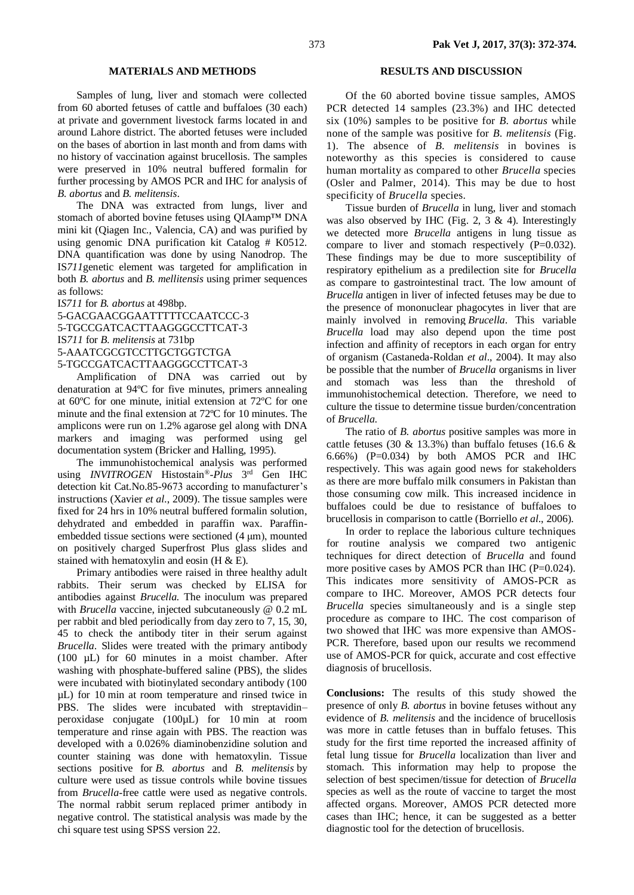### **MATERIALS AND METHODS**

Samples of lung, liver and stomach were collected from 60 aborted fetuses of cattle and buffaloes (30 each) at private and government livestock farms located in and around Lahore district. The aborted fetuses were included on the bases of abortion in last month and from dams with no history of vaccination against brucellosis. The samples were preserved in 10% neutral buffered formalin for further processing by AMOS PCR and IHC for analysis of *B. abortus* and *B. melitensis*.

The DNA was extracted from lungs, liver and stomach of aborted bovine fetuses using OIAamp™ DNA mini kit (Qiagen Inc., Valencia, CA) and was purified by using genomic DNA purification kit Catalog # K0512. DNA quantification was done by using Nanodrop. The IS*711*genetic element was targeted for amplification in both *B. abortus* and *B. mellitensis* using primer sequences as follows:

I*S711* for *B. abortus* at 498bp.

5-GACGAACGGAATTTTTCCAATCCC-3 5-TGCCGATCACTTAAGGGCCTTCAT-3 IS*711* for *B. melitensis* at 731bp 5-AAATCGCGTCCTTGCTGGTCTGA 5-TGCCGATCACTTAAGGGCCTTCAT-3

Amplification of DNA was carried out by denaturation at 94ºC for five minutes, primers annealing at 60ºC for one minute, initial extension at 72ºC for one minute and the final extension at 72ºC for 10 minutes. The amplicons were run on 1.2% agarose gel along with DNA markers and imaging was performed using gel documentation system (Bricker and Halling, 1995).

The immunohistochemical analysis was performed using *INVITROGEN* Histostain®-*Plus* 3 rd Gen IHC detection kit Cat.No.85-9673 according to manufacturer's instructions (Xavier *et al*., 2009). The tissue samples were fixed for 24 hrs in 10% neutral buffered formalin solution, dehydrated and embedded in paraffin wax. Paraffinembedded tissue sections were sectioned (4 μm), mounted on positively charged Superfrost Plus glass slides and stained with hematoxylin and eosin  $(H & E)$ .

Primary antibodies were raised in three healthy adult rabbits. Their serum was checked by ELISA for antibodies against *Brucella.* The inoculum was prepared with *Brucella* vaccine, injected subcutaneously @ 0.2 mL per rabbit and bled periodically from day zero to 7, 15, 30, 45 to check the antibody titer in their serum against *Brucella*. Slides were treated with the primary antibody (100 µL) for 60 minutes in a moist chamber. After washing with phosphate-buffered saline (PBS), the slides were incubated with biotinylated secondary antibody (100 µL) for 10 min at room temperature and rinsed twice in PBS. The slides were incubated with streptavidin– peroxidase conjugate (100µL) for 10 min at room temperature and rinse again with PBS. The reaction was developed with a 0.026% diaminobenzidine solution and counter staining was done with hematoxylin. Tissue sections positive for *B. abortus* and *B. melitensis* by culture were used as tissue controls while bovine tissues from *Brucella*-free cattle were used as negative controls. The normal rabbit serum replaced primer antibody in negative control*.* The statistical analysis was made by the chi square test using SPSS version 22.

#### **RESULTS AND DISCUSSION**

Of the 60 aborted bovine tissue samples, AMOS PCR detected 14 samples (23.3%) and IHC detected six (10%) samples to be positive for *B. abortus* while none of the sample was positive for *B. melitensis* (Fig. 1). The absence of *B. melitensis* in bovines is noteworthy as this species is considered to cause human mortality as compared to other *Brucella* species (Osler and Palmer, 2014). This may be due to host specificity of *Brucella* species.

Tissue burden of *Brucella* in lung, liver and stomach was also observed by IHC (Fig. 2, 3  $\&$  4). Interestingly we detected more *Brucella* antigens in lung tissue as compare to liver and stomach respectively  $(P=0.032)$ . These findings may be due to more susceptibility of respiratory epithelium as a predilection site for *Brucella* as compare to gastrointestinal tract. The low amount of *Brucella* antigen in liver of infected fetuses may be due to the presence of mononuclear phagocytes in liver that are mainly involved in removing *Brucella*. This variable *Brucella* load may also depend upon the time post infection and affinity of receptors in each organ for entry of organism (Castaneda-Roldan *et al*., 2004). It may also be possible that the number of *Brucella* organisms in liver and stomach was less than the threshold of immunohistochemical detection. Therefore, we need to culture the tissue to determine tissue burden/concentration of *Brucella*.

The ratio of *B. abortus* positive samples was more in cattle fetuses (30  $\&$  13.3%) than buffalo fetuses (16.6  $\&$ 6.66%) (P=0.034) by both AMOS PCR and IHC respectively. This was again good news for stakeholders as there are more buffalo milk consumers in Pakistan than those consuming cow milk. This increased incidence in buffaloes could be due to resistance of buffaloes to brucellosis in comparison to cattle [\(Borriello](http://www.ncbi.nlm.nih.gov/pubmed/?term=Borriello%20G%5BAuthor%5D&cauthor=true&cauthor_uid=16552040) *et al*., 2006).

In order to replace the laborious culture techniques for routine analysis we compared two antigenic techniques for direct detection of *Brucella* and found more positive cases by AMOS PCR than IHC ( $P=0.024$ ). This indicates more sensitivity of AMOS-PCR as compare to IHC. Moreover, AMOS PCR detects four *Brucella* species simultaneously and is a single step procedure as compare to IHC. The cost comparison of two showed that IHC was more expensive than AMOS-PCR. Therefore, based upon our results we recommend use of AMOS-PCR for quick, accurate and cost effective diagnosis of brucellosis.

**Conclusions:** The results of this study showed the presence of only *B. abortus* in bovine fetuses without any evidence of *B. melitensis* and the incidence of brucellosis was more in cattle fetuses than in buffalo fetuses. This study for the first time reported the increased affinity of fetal lung tissue for *Brucella* localization than liver and stomach*.* This information may help to propose the selection of best specimen/tissue for detection of *Brucella* species as well as the route of vaccine to target the most affected organs. Moreover, AMOS PCR detected more cases than IHC; hence, it can be suggested as a better diagnostic tool for the detection of brucellosis.